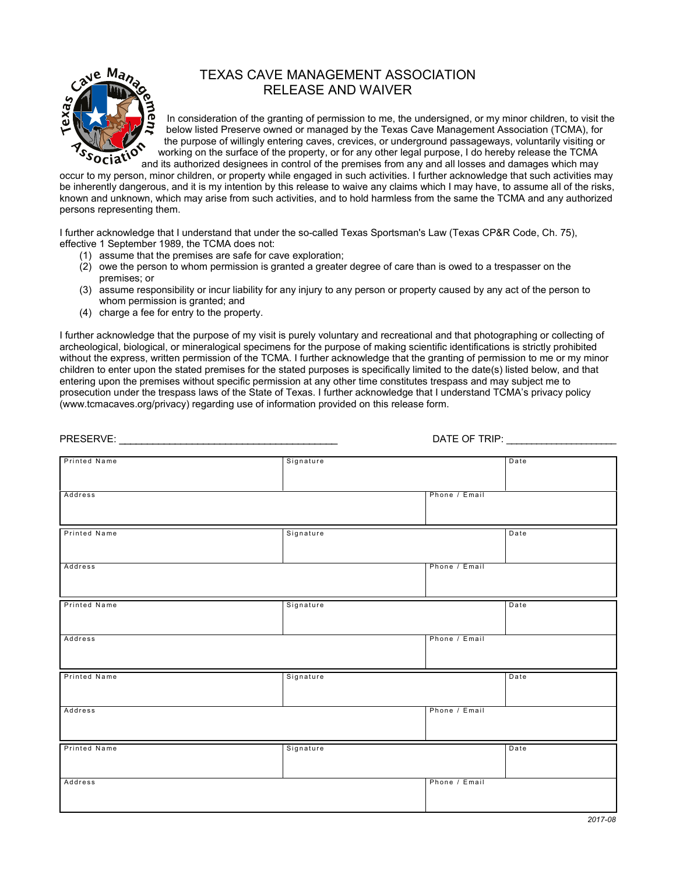

## TEXAS CAVE MANAGEMENT ASSOCIATION RELEASE AND WAIVER

In consideration of the granting of permission to me, the undersigned, or my minor children, to visit the below listed Preserve owned or managed by the Texas Cave Management Association (TCMA), for the purpose of willingly entering caves, crevices, or underground passageways, voluntarily visiting or working on the surface of the property, or for any other legal purpose, I do hereby release the TCMA and its authorized designees in control of the premises from any and all losses and damages which may

occur to my person, minor children, or property while engaged in such activities. I further acknowledge that such activities may be inherently dangerous, and it is my intention by this release to waive any claims which I may have, to assume all of the risks, known and unknown, which may arise from such activities, and to hold harmless from the same the TCMA and any authorized persons representing them.

I further acknowledge that I understand that under the so-called Texas Sportsman's Law (Texas CP&R Code, Ch. 75), effective 1 September 1989, the TCMA does not:

- (1) assume that the premises are safe for cave exploration;
- $(2)$  owe the person to whom permission is granted a greater degree of care than is owed to a trespasser on the premises; or
- (3) assume responsibility or incur liability for any injury to any person or property caused by any act of the person to whom permission is granted; and
- (4) charge a fee for entry to the property.

I further acknowledge that the purpose of my visit is purely voluntary and recreational and that photographing or collecting of archeological, biological, or mineralogical specimens for the purpose of making scientific identifications is strictly prohibited without the express, written permission of the TCMA. I further acknowledge that the granting of permission to me or my minor children to enter upon the stated premises for the stated purposes is specifically limited to the date(s) listed below, and that entering upon the premises without specific permission at any other time constitutes trespass and may subject me to prosecution under the trespass laws of the State of Texas. I further acknowledge that I understand TCMA's privacy policy ([www.tcmacaves.org/privacy\)](http://www.tcmacaves.org/privacy) regarding use of information provided on this release form.

|                     |           | DATE OF TRIP: <b>William COVER</b> |      |
|---------------------|-----------|------------------------------------|------|
| Printed Name        | Signature |                                    | Date |
|                     |           |                                    |      |
| Address             |           | Phone / Email                      |      |
| Printed Name        | Signature |                                    | Date |
| Address             |           | Phone / Email                      |      |
| Printed Name        | Signature |                                    | Date |
| Address             |           | Phone / Email                      |      |
| Printed Name        | Signature |                                    | Date |
| Address             |           | Phone / Email                      |      |
| <b>Printed Name</b> | Signature |                                    | Date |
| Address             |           | Phone / Email                      |      |
|                     |           |                                    |      |